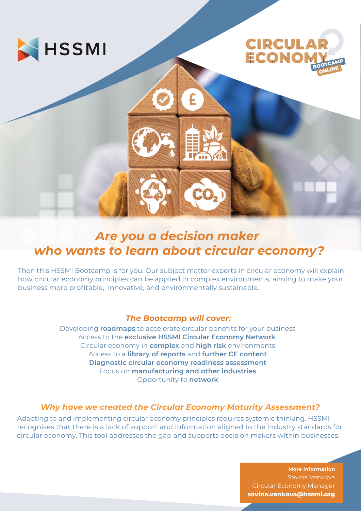



## *Are you a decision maker who wants to learn about circular economy?*

Then this HSSMI Bootcamp is for you. Our subject matter experts in circular economy will explain how circular economy principles can be applied in complex environments, aiming to make your business more profitable, innovative, and environmentally sustainable.

### *The Bootcamp will cover:*

Developing **roadmaps** to accelerate circular benefits for your business Access to the **exclusive HSSMI Circular Economy Network** Circular economy in **complex** and **high risk** environments Access to a **library of reports** and **further CE content Diagnostic circular economy readiness assessment** Focus on **manufacturing and other industries** Opportunity to **network**

### *Why have we created the Circular Economy Maturity Assessment?*

Adapting to and implementing circular economy principles requires systemic thinking. HSSMI recognises that there is a lack of support and information aligned to the industry standards for circular economy. This tool addresses the gap and supports decision makers within businesses.

> **More information** Savina Venkova Circular Economy Manager **savina.venkova@hssmi.org**